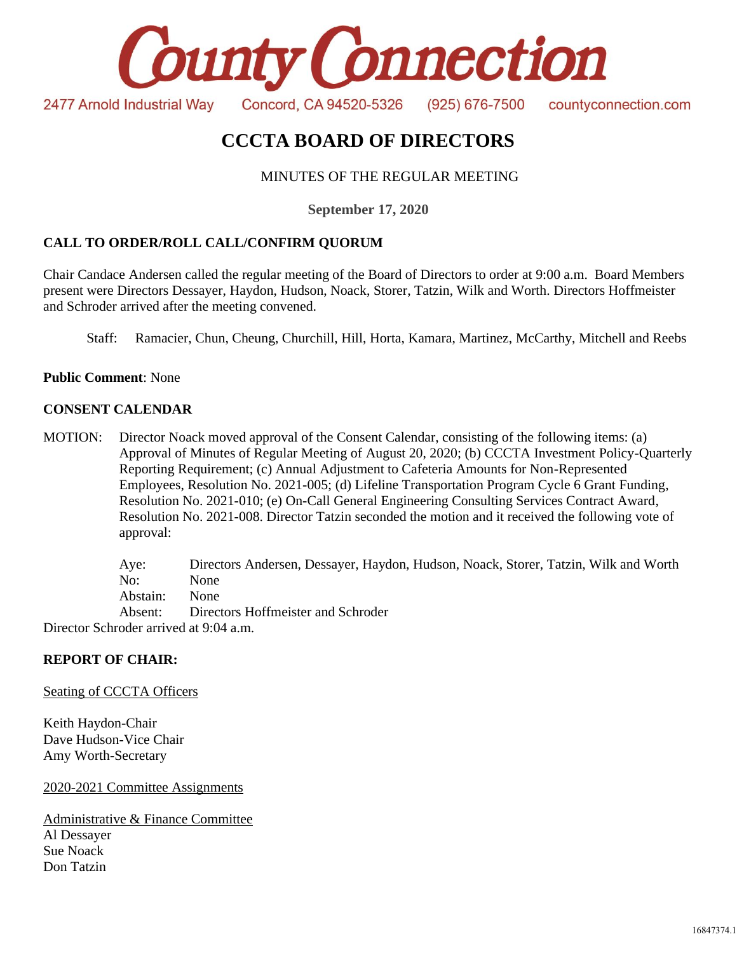

# **CCCTA BOARD OF DIRECTORS**

# MINUTES OF THE REGULAR MEETING

**September 17, 2020**

# **CALL TO ORDER/ROLL CALL/CONFIRM QUORUM**

Chair Candace Andersen called the regular meeting of the Board of Directors to order at 9:00 a.m. Board Members present were Directors Dessayer, Haydon, Hudson, Noack, Storer, Tatzin, Wilk and Worth. Directors Hoffmeister and Schroder arrived after the meeting convened.

Staff: Ramacier, Chun, Cheung, Churchill, Hill, Horta, Kamara, Martinez, McCarthy, Mitchell and Reebs

**Public Comment**: None

## **CONSENT CALENDAR**

MOTION: Director Noack moved approval of the Consent Calendar, consisting of the following items: (a) Approval of Minutes of Regular Meeting of August 20, 2020; (b) CCCTA Investment Policy-Quarterly Reporting Requirement; (c) Annual Adjustment to Cafeteria Amounts for Non-Represented Employees, Resolution No. 2021-005; (d) Lifeline Transportation Program Cycle 6 Grant Funding, Resolution No. 2021-010; (e) On-Call General Engineering Consulting Services Contract Award, Resolution No. 2021-008. Director Tatzin seconded the motion and it received the following vote of approval:

> Aye: Directors Andersen, Dessayer, Haydon, Hudson, Noack, Storer, Tatzin, Wilk and Worth No: None Abstain: None Absent: Directors Hoffmeister and Schroder

Director Schroder arrived at 9:04 a.m.

## **REPORT OF CHAIR:**

Seating of CCCTA Officers

Keith Haydon-Chair Dave Hudson-Vice Chair Amy Worth-Secretary

2020-2021 Committee Assignments

Administrative & Finance Committee Al Dessayer Sue Noack Don Tatzin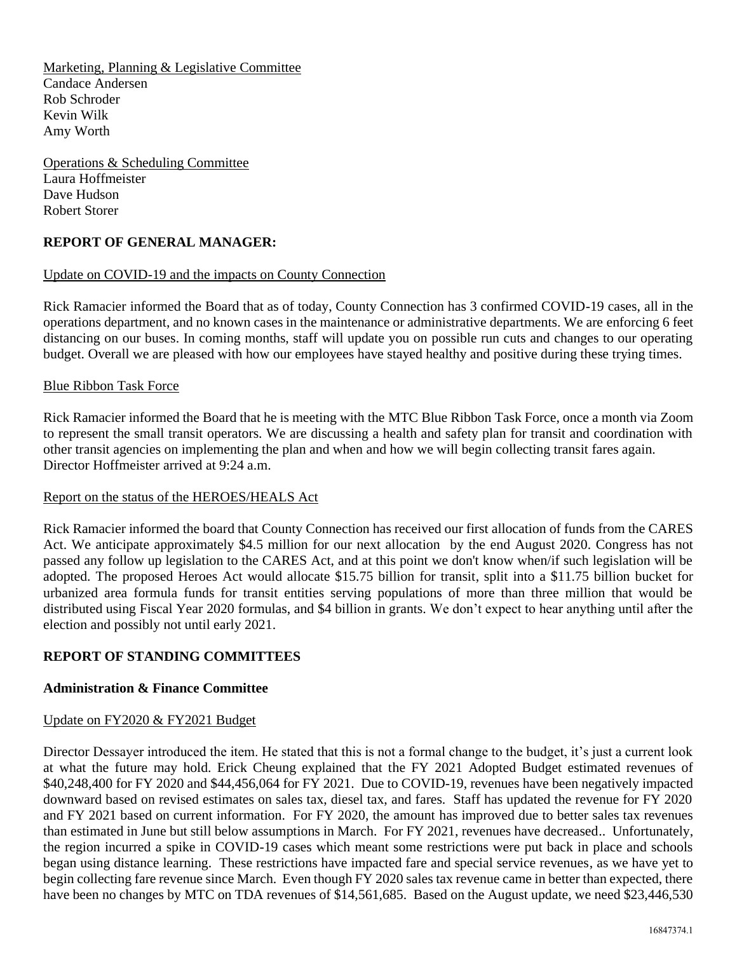Marketing, Planning & Legislative Committee Candace Andersen Rob Schroder Kevin Wilk Amy Worth

Operations & Scheduling Committee Laura Hoffmeister Dave Hudson Robert Storer

# **REPORT OF GENERAL MANAGER:**

## Update on COVID-19 and the impacts on County Connection

Rick Ramacier informed the Board that as of today, County Connection has 3 confirmed COVID-19 cases, all in the operations department, and no known cases in the maintenance or administrative departments. We are enforcing 6 feet distancing on our buses. In coming months, staff will update you on possible run cuts and changes to our operating budget. Overall we are pleased with how our employees have stayed healthy and positive during these trying times.

### Blue Ribbon Task Force

Rick Ramacier informed the Board that he is meeting with the MTC Blue Ribbon Task Force, once a month via Zoom to represent the small transit operators. We are discussing a health and safety plan for transit and coordination with other transit agencies on implementing the plan and when and how we will begin collecting transit fares again. Director Hoffmeister arrived at 9:24 a.m.

### Report on the status of the HEROES/HEALS Act

Rick Ramacier informed the board that County Connection has received our first allocation of funds from the CARES Act. We anticipate approximately \$4.5 million for our next allocation by the end August 2020. Congress has not passed any follow up legislation to the CARES Act, and at this point we don't know when/if such legislation will be adopted. The proposed Heroes Act would allocate \$15.75 billion for transit, split into a \$11.75 billion bucket for urbanized area formula funds for transit entities serving populations of more than three million that would be distributed using Fiscal Year 2020 formulas, and \$4 billion in grants. We don't expect to hear anything until after the election and possibly not until early 2021.

## **REPORT OF STANDING COMMITTEES**

## **Administration & Finance Committee**

### Update on FY2020 & FY2021 Budget

Director Dessayer introduced the item. He stated that this is not a formal change to the budget, it's just a current look at what the future may hold. Erick Cheung explained that the FY 2021 Adopted Budget estimated revenues of \$40,248,400 for FY 2020 and \$44,456,064 for FY 2021. Due to COVID-19, revenues have been negatively impacted downward based on revised estimates on sales tax, diesel tax, and fares. Staff has updated the revenue for FY 2020 and FY 2021 based on current information. For FY 2020, the amount has improved due to better sales tax revenues than estimated in June but still below assumptions in March. For FY 2021, revenues have decreased.. Unfortunately, the region incurred a spike in COVID-19 cases which meant some restrictions were put back in place and schools began using distance learning. These restrictions have impacted fare and special service revenues, as we have yet to begin collecting fare revenue since March. Even though FY 2020 sales tax revenue came in better than expected, there have been no changes by MTC on TDA revenues of \$14,561,685. Based on the August update, we need \$23,446,530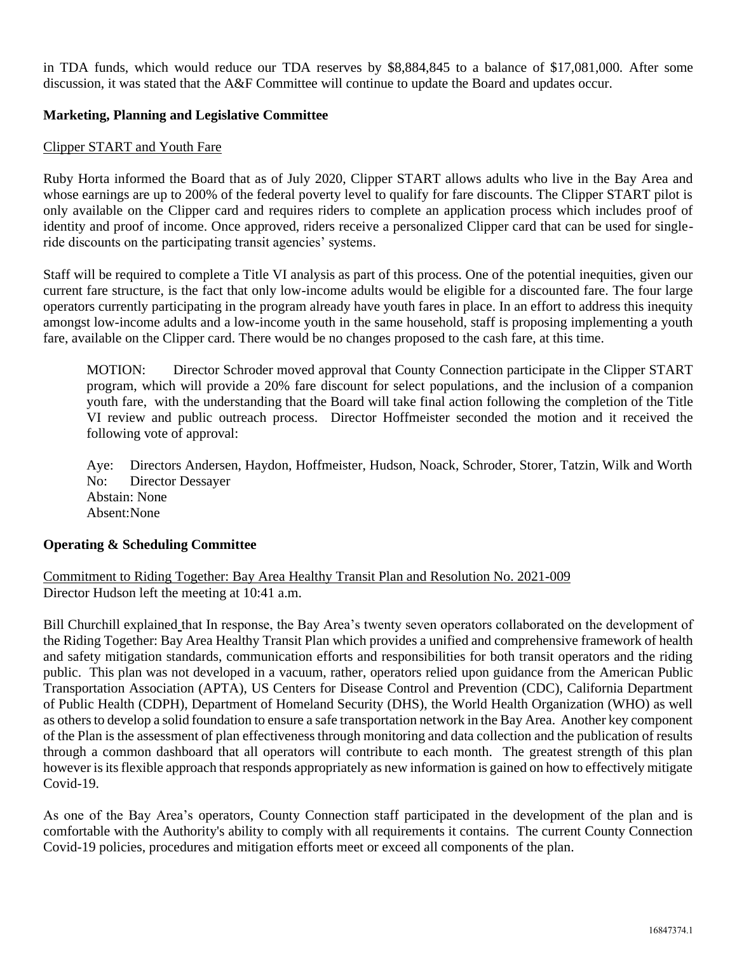in TDA funds, which would reduce our TDA reserves by \$8,884,845 to a balance of \$17,081,000. After some discussion, it was stated that the A&F Committee will continue to update the Board and updates occur.

## **Marketing, Planning and Legislative Committee**

## Clipper START and Youth Fare

Ruby Horta informed the Board that as of July 2020, Clipper START allows adults who live in the Bay Area and whose earnings are up to 200% of the federal poverty level to qualify for fare discounts. The Clipper START pilot is only available on the Clipper card and requires riders to complete an application process which includes proof of identity and proof of income. Once approved, riders receive a personalized Clipper card that can be used for singleride discounts on the participating transit agencies' systems.

Staff will be required to complete a Title VI analysis as part of this process. One of the potential inequities, given our current fare structure, is the fact that only low-income adults would be eligible for a discounted fare. The four large operators currently participating in the program already have youth fares in place. In an effort to address this inequity amongst low-income adults and a low-income youth in the same household, staff is proposing implementing a youth fare, available on the Clipper card. There would be no changes proposed to the cash fare, at this time.

MOTION: Director Schroder moved approval that County Connection participate in the Clipper START program, which will provide a 20% fare discount for select populations, and the inclusion of a companion youth fare, with the understanding that the Board will take final action following the completion of the Title VI review and public outreach process. Director Hoffmeister seconded the motion and it received the following vote of approval:

Aye: Directors Andersen, Haydon, Hoffmeister, Hudson, Noack, Schroder, Storer, Tatzin, Wilk and Worth No: Director Dessayer Abstain: None Absent:None

### **Operating & Scheduling Committee**

Commitment to Riding Together: Bay Area Healthy Transit Plan and Resolution No. 2021-009 Director Hudson left the meeting at 10:41 a.m.

Bill Churchill explained that In response, the Bay Area's twenty seven operators collaborated on the development of the Riding Together: Bay Area Healthy Transit Plan which provides a unified and comprehensive framework of health and safety mitigation standards, communication efforts and responsibilities for both transit operators and the riding public. This plan was not developed in a vacuum, rather, operators relied upon guidance from the American Public Transportation Association (APTA), US Centers for Disease Control and Prevention (CDC), California Department of Public Health (CDPH), Department of Homeland Security (DHS), the World Health Organization (WHO) as well as others to develop a solid foundation to ensure a safe transportation network in the Bay Area. Another key component of the Plan is the assessment of plan effectiveness through monitoring and data collection and the publication of results through a common dashboard that all operators will contribute to each month. The greatest strength of this plan however is its flexible approach that responds appropriately as new information is gained on how to effectively mitigate Covid-19.

As one of the Bay Area's operators, County Connection staff participated in the development of the plan and is comfortable with the Authority's ability to comply with all requirements it contains. The current County Connection Covid-19 policies, procedures and mitigation efforts meet or exceed all components of the plan.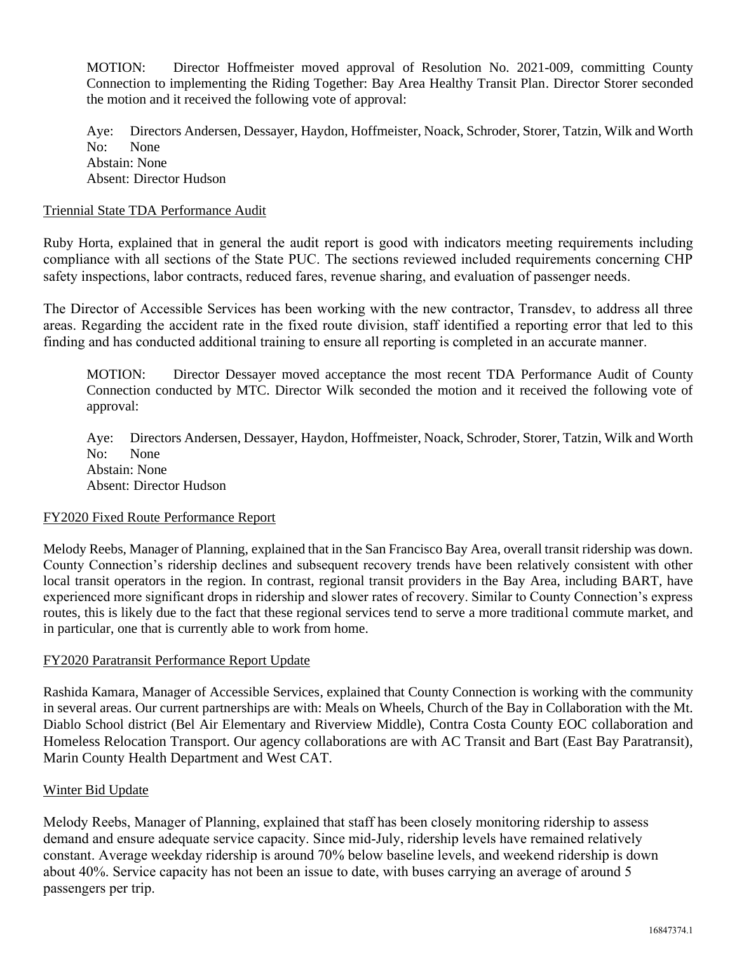MOTION: Director Hoffmeister moved approval of Resolution No. 2021-009, committing County Connection to implementing the Riding Together: Bay Area Healthy Transit Plan. Director Storer seconded the motion and it received the following vote of approval:

Aye: Directors Andersen, Dessayer, Haydon, Hoffmeister, Noack, Schroder, Storer, Tatzin, Wilk and Worth No: None Abstain: None Absent: Director Hudson

## Triennial State TDA Performance Audit

Ruby Horta, explained that in general the audit report is good with indicators meeting requirements including compliance with all sections of the State PUC. The sections reviewed included requirements concerning CHP safety inspections, labor contracts, reduced fares, revenue sharing, and evaluation of passenger needs.

The Director of Accessible Services has been working with the new contractor, Transdev, to address all three areas. Regarding the accident rate in the fixed route division, staff identified a reporting error that led to this finding and has conducted additional training to ensure all reporting is completed in an accurate manner.

MOTION: Director Dessayer moved acceptance the most recent TDA Performance Audit of County Connection conducted by MTC. Director Wilk seconded the motion and it received the following vote of approval:

Aye: Directors Andersen, Dessayer, Haydon, Hoffmeister, Noack, Schroder, Storer, Tatzin, Wilk and Worth No: None Abstain: None Absent: Director Hudson

### FY2020 Fixed Route Performance Report

Melody Reebs, Manager of Planning, explained that in the San Francisco Bay Area, overall transit ridership was down. County Connection's ridership declines and subsequent recovery trends have been relatively consistent with other local transit operators in the region. In contrast, regional transit providers in the Bay Area, including BART, have experienced more significant drops in ridership and slower rates of recovery. Similar to County Connection's express routes, this is likely due to the fact that these regional services tend to serve a more traditional commute market, and in particular, one that is currently able to work from home.

### FY2020 Paratransit Performance Report Update

Rashida Kamara, Manager of Accessible Services, explained that County Connection is working with the community in several areas. Our current partnerships are with: Meals on Wheels, Church of the Bay in Collaboration with the Mt. Diablo School district (Bel Air Elementary and Riverview Middle), Contra Costa County EOC collaboration and Homeless Relocation Transport. Our agency collaborations are with AC Transit and Bart (East Bay Paratransit), Marin County Health Department and West CAT.

### Winter Bid Update

Melody Reebs, Manager of Planning, explained that staff has been closely monitoring ridership to assess demand and ensure adequate service capacity. Since mid-July, ridership levels have remained relatively constant. Average weekday ridership is around 70% below baseline levels, and weekend ridership is down about 40%. Service capacity has not been an issue to date, with buses carrying an average of around 5 passengers per trip.